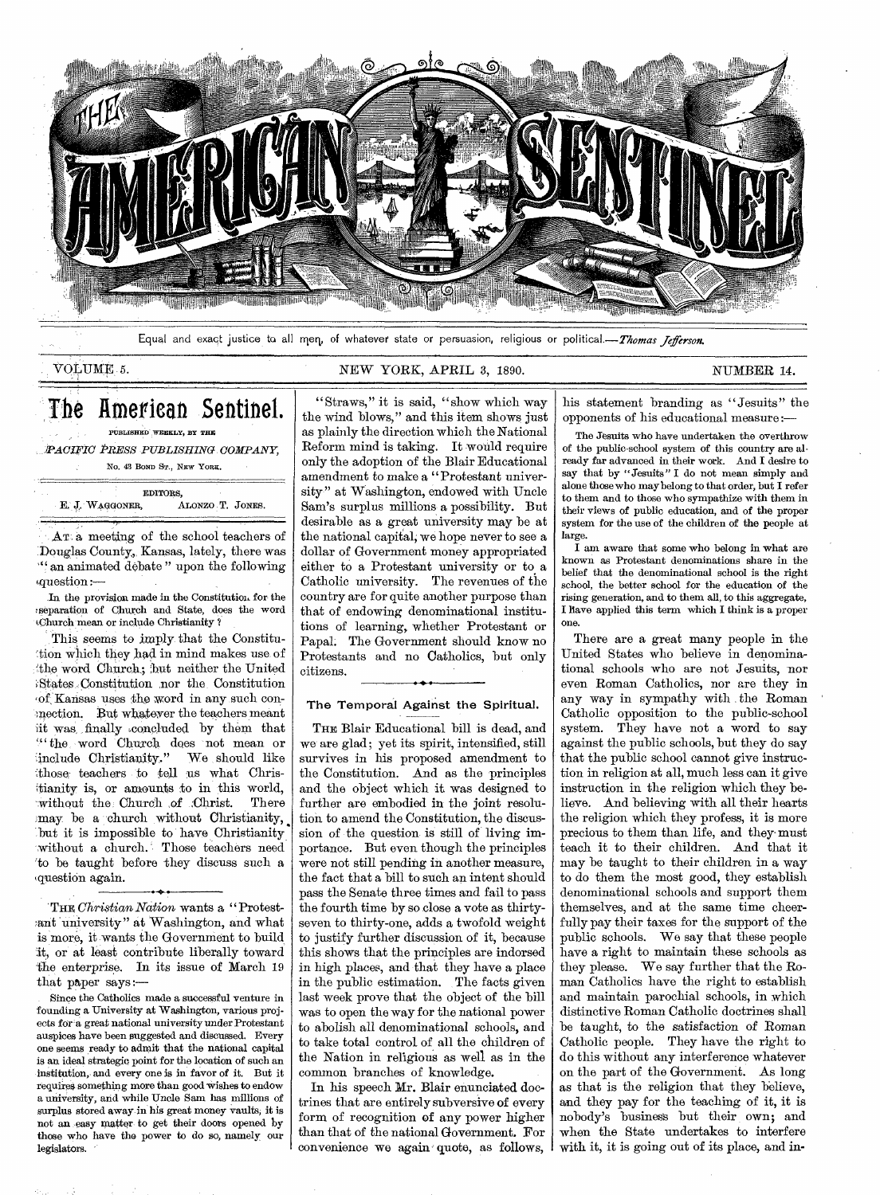

Equal and exact justice to all meg, of whatever state or persuasion, religious or political.—Thomas *Jeferson.* 

# VOLUME NEW YORK, APRIL 3, 1890. NUMBER 14.

# The American Sentinel. PUBLISHED WEEKLY, BY THE

*'PACIFIC PRESS PUBLISHING COMPANY,*  No. 43 BOND ST., NEW YORE.

|                 | EDITORS,         |  |
|-----------------|------------------|--|
| E. J. WAGGONER, | ALONZO T. JONES. |  |

AT a meeting of the school teachers of :Douglas County,, Kansas, lately, there was ''` an animated debate " upon the following <sup>f</sup>question :—

In the provision made in the Constitution for the ;separation of Church and State, does the word Church mean or include Christianity ?

This seems to imply- that the Constitution which they had in mind makes use of 'the word Church; but neither the United States.Constitution nor the Constitution of; Kansas uses the word in any such conmection. But whatever the teachers meant it was finally concluded by them that "the word Church does not mean or<br>
include Christianity." We should like include Christianity." those teachers to tell us what Christianity is, or amounts to in this world,<br>without the Church of Christ. There without the Church of Christ. may be a church without Christianity, but it is impossible to have Christianity without a church. Those teachers need 'to be taught before they discuss such a question again.

THE *Christian Nation* wants a " Protest- ;ant university" at Washington, and what is more, it wants the Government to build it, or at least contribute liberally toward the enterprise. In its issue of March 19 that paper says:—

Since the Catholics made a successful venture in founding a University at Washington, various projects for a great national university under Protestant auspices have been suggested and discussed. Every one seems ready to admit that the national capital is an ideal strategic point for the location of such an institution, and every one is in favor of it. But it requires something more than good wishes to endow a university, and while Uncle Sam has millions of surplus stored away in his great money vaults; it is not an easy matter to get their doors opened by those who have the power to do so, namely our legislators.

"Straws," it is said, "show which way the wind blows," and this item shows just as plainly the direction which the National Reform mind is taking. It would require only the adoption of the Blair Educational amendment to make a "Protestant university" at Washington, endowed with Uncle Sam's surplus millions a possibility. But desirable as a great university may be at the national capital, we hope never to see a dollar of Government money appropriated either to a Protestant university or to a Catholic university. The revenues of the country are for quite another purpose than that of endowing denominational institutions of learning, whether Protestant or Papal. The Government should know no Protestants and no Catholics, but only citizens.

## The Temporal Against the Spiritual.

THE Blair Educational bill is dead, and we are glad ; yet its spirit, intensified, still survives in his proposed amendment to the Constitution. And as the principles and the object which it was designed to further are embodied in the joint resolution to amend the Constitution, the discussion of the question is still of living importance. But even though the principles were not still pending in another measure, the fact that a bill to such an intent should pass the Senate three times and fail to pass the fourth time by so close a vote as thirtyseven to thirty-one, adds a twofold weight to justify further discussion of it, because this shows that the principles are indorsed in high places, and that they have a place in the public estimation. The facts given last week prove that the object of the bill was to open the way for the national power to abolish all denominational schools, and to take total control of all the children of the Nation in religious as well as in the common branches of knowledge.

In his speech Mr. Blair enunciated doctrines that are entirely subversive of every form of recognition of any power higher than that of the national Government. For convenience we again quote, as follows,

his statement branding as "Jesuits" the opponents of his educational measure :—

The Jesuits who have undertaken the overthrow of the public-school system of this country are already far advanced in their work. And I desire to say that by "Jesuits" I do not mean simply and alone those who may belong to that order, but I refer to them and to those who sympathize with them in their views of public education, and of the proper system for the use of the children of the people at large.

I am aware that some who belong in what are known as Protestant denominations share in the belief that the denominational school is the right school, the better school for the education of the rising generation, and to them all, to this aggregate, I have applied this term which I think is a proper one.

There are a great many people in the United States who believe in denominational schools who are not Jesuits, nor even Roman Catholics, nor are they in any way in sympathy with the Roman Catholic opposition to the public-school system. They have not a word to say against the public schools, but they do say that the public school cannot give instruction in religion at all, much less can it give instruction in the religion which they believe. And believing with all their hearts the religion which they profess, it is more precious to them than life, and they' must teach it to their children. And that it may be taught to their children in a way to do them the most good, they establish denominational schools and support them themselves, and at the same time cheerfully pay their taxes for the support of the public schools. We say that these people have a right to maintain these schools as they please. We say further that the Roman Catholics have the right to establish and maintain parochial schools, in which distinctive Roman Catholic doctrines shall be taught, to the satisfaction of Roman Catholic people. They have the right to do this without any interference whatever on the part of the Government. As long as that is the religion that they believe, and they pay for the teaching of it, it is nobody's business but their own; and when the State undertakes to interfere with it, it is going out of its place, and in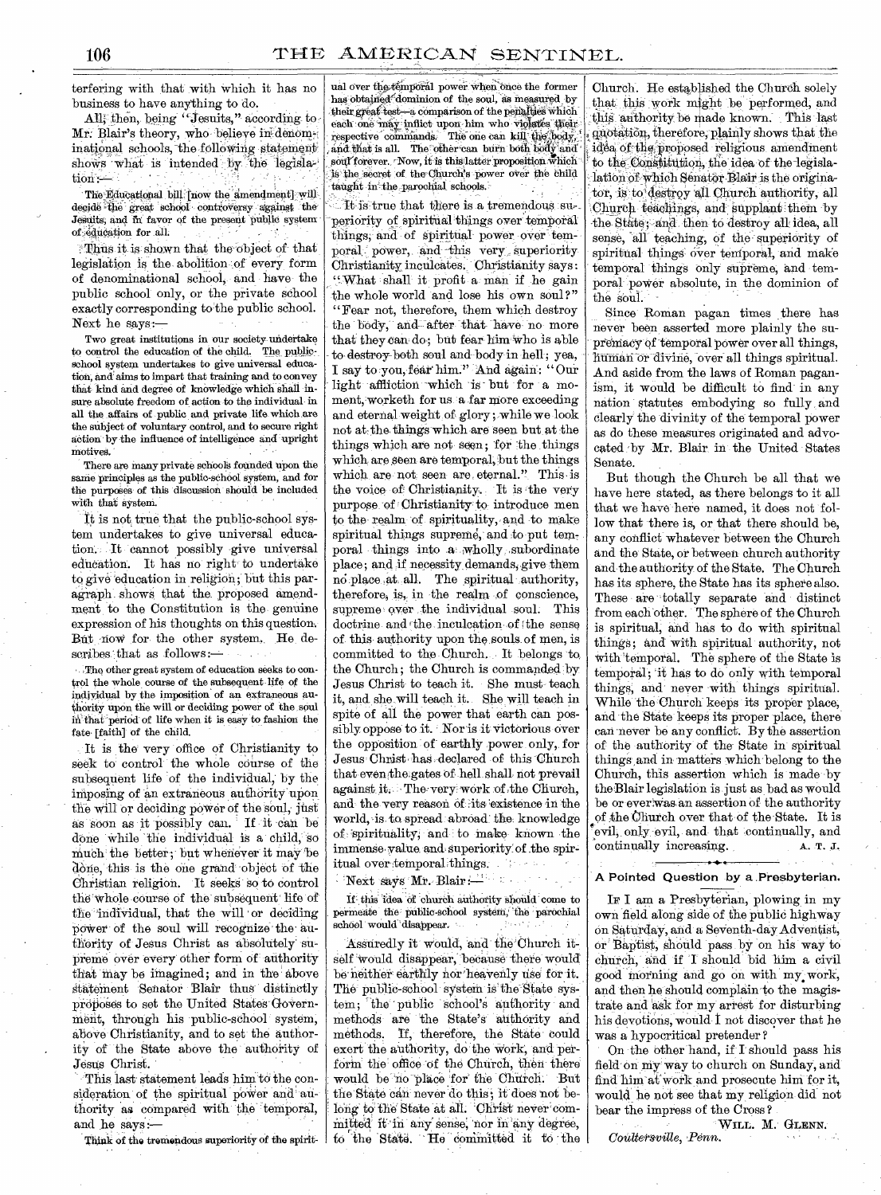terfering with that with which it has no business to have anything to do

All, then, being "Jesuits," according to Mr. Blair's theory, who believe in denominational schools, the following statement shows what is intended by the legislation '

The Educational bill [now the amendment] will decide -the great 'school controversy against the Jesuits; and in favor of the present public system of edueation for all.

Thus it is shown that the object of that legislation is the abolition :of every form of denominational school, and have the public school only, or the private school exactly corresponding to the public school. Next he says:—

Two great institutions in our society undertake to control the education of the child. The publicschool system undertakes to give universal education, and aims to impart that training and to convey that kind and degree of knowledge which shall insure absolute freedom of action to the individual in all the affairs of public and private life which are the subject of voluntary control, and to secure right action by the influence of intelligence and upright motives.

There are many private schools founded upon the same principles as the public-school system, and for the purposes of this discussion should be included with that system.

It is not true that the public-school system undertakes to give universal education. , It cannot possibly give universal education. It has no right to undertake to give education in religion; but this paragraph shows that the proposed amendment to the Constitution is the genuine expression of his thoughts on this question. But now for the other system, He describes that as follows:-

. The other great system of education seeks to control the whole course of the subsequent life of the individual by the imposition of an extraneous authority upon the will or deciding power of the soul that"peried of life when it is easy to fashion the fate [faith] of the child.

It is the very office of Christianity to seek to control the whole course of the subsequent life of the individual, by the imposing of an extraneous authority upon the will or deciding power of the soul, just as soon as it possibly can. If it can be done while the individual is a child; so much the better; but whenever it may be done, this is the one grand object of the Christian religion. It seeks so to control the-whole course of the subsequent' life of the individual, that the will or deciding power of the soul will recognize the authority of Jesus Christ as absolutely' supreme over every other form of authority that may be imagined; and in the above statement Senator Blair thus distinctly proposes to set the United States Government, through his public-school system, above Christianity, and to set the authority of the State above the authority of Jesus Christ.

This last statement leads him to the consideration of the spiritual power and authority as compared with the 'temporal, and he says :—

Think of the tremendous superiority of the spirit-

ual over the temporal power when once the former has obtained dominion of the soul, as measured by their great test-a comparison of the penalties which each one may inflict upon him who violates their respective commands. The one can kill the body and that is all. The other can burn both body an  $\operatorname{sort}$  forever.  $\cdot$  Now, it is this latter proposition which is the secret of the Ohurch's power over the child taught in the parochial schools.

It is true that there is a tremendous superiority of spiritual things over temporal things; and of spiritual poWer over temporal power, and this very superiority-Christianity inculcates. Christianity says: "What shall it profit a man if he gain the whole world and lose his own soul?" "Fear not, therefore, them which destroy the body, and after that have no more that they can do; but fear him who is able to destroy both soul and body in hell; yea, I say to you, fear him." And again: "Our light affliction which is but for a moment, worketh for us a far more exceeding and eternal weight of glory; while we look not at the things which are seen but at the things which are not seen; for the things which are seen are temporal, but the things which are not seen are eternal." This is the voice of Christianity. It is the very purpose of Christianity to introduce men to the realm of spirituality, and to make spiritual things supreme, and to put temporal things into a wholly subordinate place ; and if necessity demands; give them no place at all. The spiritual authority, therefore, is, in the realm of conscience, supreme over the individual soul. This doctrine and the inculcation of the sense of this authority upon the souls of men, is committed to the Church. It belongs to the Church; the Church is commanded by Jesus Christ to teach it. She must teach it, and she will teach it. She will teach in spite of all the power that earth can possibly oppose to it. Nor is it victorious over the opposition of earthly power only,. for Jesus Christ has declared of this Church that eventhe.gates of hell shall not prevail against it. The very work of the Church, and the very reason of :its existence in the world, is to spread- abroad the knowledge of spirituality, and to make known the immense, value and superiority of the spiritual over temporal things. The sea

Next says Mr. Blair :

If this idea of church authority should come to permeate the public-school system, the parochial school would 'disappear.

Assuredly it would, and the Church itself would disappear, because there would be neither earthly nor heavenly use for it. The public-school system is the State system; 'the ' public school's anthority and methods are the State'S' authority and methods. If, therefore, the State could exert the authority, do the work, and perform the office of the Church, then there would be no place for the Church. But the State can never do this; it does not belong to the State at all. Christ never committed it in any sense, nor in any degree, to the State. He committed it to the

Church. He established the Church solely that this work might be performed, and this authority be made known. This last <sup>4</sup>quotation, therefore, plainly shows that the idea of the proposed religious amendment to the Constitution, the idea of the-legislalation of which Senator Blair is the originator, is to destroy all Church authority, all Church teachings, and supplant them by the State; and then to destroy all idea, all sense, all teaching, of the superiority of spiritual things over temporal, and make temporal things only supreme, and temporal power absolute, in the dominion of the soul.

Since Roman pagan times there has never been asserted more plainly the supremacy of temporal power over all things, human or divine, over all things spiritual. And aside from the laws of Roman paganism, it would be difficult to find in any nation statutes embodying so fully, and clearly the divinity of the temporal power as do these measures originated and advocated -by Mr. Blair in the United States Senate.

But though the Church be all that we have here stated, as there belongs to it all that we have here named, it does not follow that there is, or that there should be, any conflict whatever between the Church and the State, or between church authority and the authority of the State. The Church has its sphere, the State has its sphere also. These are totally separate and distinct from each other. The sphere of the Church is spiritual, and has to do with spiritual things; and with spiritual authority, not with 'temporal. The sphere of the State is temporal; 'it has to do only with temporal things, and never with things spiritual. While the Church keeps its proper place, and the State keeps its proper place, there can never be any conflict. By the assertion of the authority of the State in spiritual things ,and in matters which belong to the Church, this assertion which is made by the-Blair legislation is just as bad as would be or everwas an assertion of the authority of the 'Church over that of the State. It is evil, only evil, and that continually, and continually increasing. A. T. J.

# A Pointed Question by a .Presbyterian.

IF I am a Presbyterian, plowing in my own field along side of the public highway on Saturday-, and a SeVenth-day Adventist, or-Baptist, should pass by on his way to church, and if I should bid him a civil good morning and go on with my, work, and then he should complain to the magistrate and ask for my arrest for disturbing his devotions, would I not discover that he was a hypocritical pretender ?

On the other hand, if I should pass his field on thy way to church on Sunday, and find him at-work and prosecute him for it, would he not see that my religion did not bear the impress of the Cross ?

WILL. M. GLENN, Coultersville, Penn.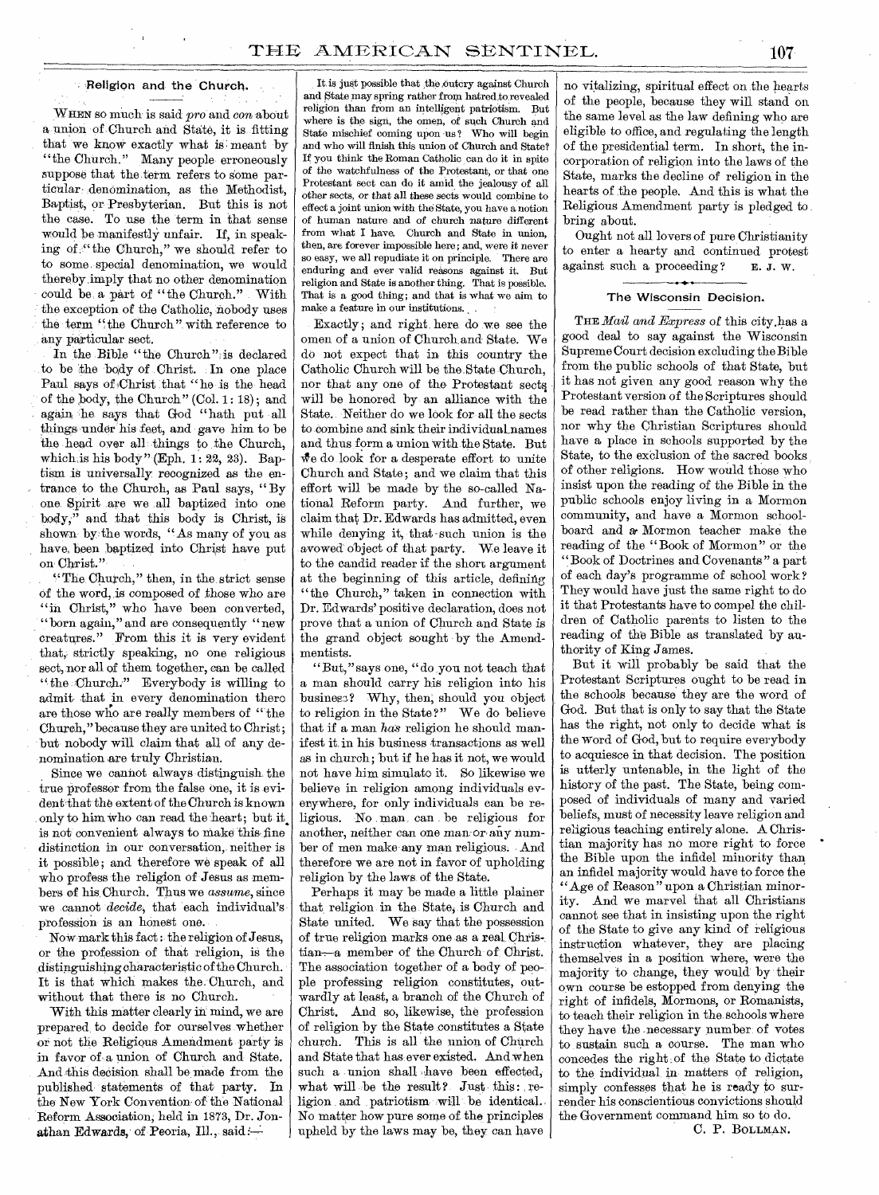# Religion and the Church.

WREN so much is said *pro* and *con* about a union of Church and State, it is fitting that we know exactly what is meant by "the Church." Many people erroneously suppose that the term refers to some particular denomination, as the Methodist, Baptist, or Presbyterian. But this is not the case. To use the term in that sense would be manifestly unfair. If, in speaking of ." the Church," we should refer to to some special denomination, we would thereby imply that no other denomination could be a part of "the Church." With the exception, of the Catholic, nobody uses the term "the Church" with reference to any particular sect.

In the Bible "the Church" is declared to be the body of Christ. In one place Paul says of Christ that "he is the head of the body, the Church" (Col. 1: 18) ; and again he says that God "hath put all things under his feet, and gave him to be the head over all things to the Church, which is his body" (Eph.  $1: 22$ ,  $23$ ). Baptism is universally recognized as the entrance to the Church, as Paul says, " By one. Spirit are we all baptized into one body," and that this body is Christ, is shown by the words, "As many of you as have,, been baptized into Christ have put on Christ."

" The Church," then, in the strict sense of the word, is composed of those who are "in Christ," who have been converted, "born again," and are consequently "new creatures." From this it is very evident that, strictly speaking, no one religious sect, nor all of them together, can be called " the Church:" Everybody is willing to admit- that in every denomination there are those who are really members of "the Church," because they are united to Christ; but nobody will claim that all of any denomination are truly Christian.

Since we cannot always distinguish the true professor from the false one, it is evident-that the extent of the Church is known only to him who can read the heart; but it. is not convenient always to make this fine distinction in our conversation, neither is it possible; and therefore we speak of all who profess the religion of Jesus as members of his. Church. Thus we *assume,* since we cannot *decide,* that each individual's profession is an honest one.

Now mark this fact : the religion of Jesus, or the profession of that religion, is the distinguishing characteristic of the Church. It is that which makes the. Church, and without that there is no Church.

With this matter clearly in mind, we are prepared, to decide for ourselves whether or not the Religious Amendment party is in favor of a union of Church and State. And this decision shall be made from the published statements of that party. In the New York Convention of the National Reform Association, held in 1873, Dr. Jonathan Edwards, of Peoria, Ill., said: $-$ 

It is just possible that the outcry against Church and State may spring rather from hatred to revealed religion than from an intelligent patriotism. But where is the sign, the omen, of such Church and State mischief coming upon us? Who will begin and who will finish this union of Church and State? If you think the Roman Catholic can do it in spite of the watchfulness of the Protestant, or that one Protestant sect can do it amid the jealousy of all other sects, or that all these sects would combine to effect a joint union with the State, you have a notion of human nature and of church nature different from what I have. Church and State in union, then, are forever impossible here; and, were it never so easy, we all repudiate it on principle. There are enduring and ever valid reasons against it. But religion and State is another thing. That is possible. That is a good thing; and that is what we aim to make a feature in our institutions. .

Exactly; and right here do we see the omen of a union of Church and State. We do not expect that in this country the Catholic Church will be the.State Church, nor that any one of the Protestant sect will be honored by an alliance with the State. Neither do we look for all the sects to combine and sink their individual names and thus form a union With the State. But  $\mathbf{\hat{w}}$ e do look for a desperate effort to unite Church and State ; and we claim that this effort will be made by the so-called National Reform party. And further, we claim that Dr. Edwards has admitted, even while denying it, that such union is the avowed object of that party. We leave it to the candid reader if the short argument at the beginning of this article, defining "the Church," taken in connection with Dr. Edwards' positive declaration, does not prove that a union of Church and State is the grand object sought by the Amendmentists.

"But," says one, "do you not teach that a man should carry his religion into his business? Why, then; should you object to religion in the State?" We do believe that if a man *has* religion he should manifest it in his business transactions as well as in church; but if he has it not, we would not have him simulato it. So likewise we believe in religion among individuals everywhere, for only individuals can be religious. No man, can be religious for another, neither can one man-or- any number of men make any man religious. And therefore we are not in favor of upholding religion by the laws of the State.

Perhaps it may be made a little plainer that religion in the State, is Church and State united. We say that the possession of true religion marks one as a real. Christian—a member of the Church of Christ. The association together of a body of people professing religion constitutes, outwardly at least, a branch of the Church of Christ. And so, likewise, the profession of religion by the State constitutes a State church. This is all the union of Church and State that has ever existed. And when such a union shall have been effected, what will be the result? Just this: religion and patriotism will be identical. No matter how pure some of the principles upheld by the laws may be, they can have no vitalizing, spiritual effect on the hearts of the people, because they will stand on the same level as the law defining who are eligible to office, and regulating the length of the presidential term. In short, the incorporation of religion into the laws of the State, marks the decline of religion in the hearts of the people. And this is what the Religious Amendment party is pledged to bring about.

Ought not all lovers of pure Christianity to enter a hearty and continued protest against such a proceeding?  $E. J. W.$ 

#### The Wisconsin Decision.

THE *Mail and Express* of this city.has a good deal to say against the Wisconsin Supreme Court decision excluding the Bible from the public schools of that State, but it has not given any good reason why the Protestant version of the Scriptures should be read rather than the Catholic version, nor why the Christian Scriptures should have a place in schools supported by the State, to the exclusion of the sacred books of other religions. How would those who insist upon the reading of the Bible in the public schools enjoy living in a Mormon community, and have a Mormon schoolboard and *ar* Mormon teacher make the reading of the "Book of Mormon" or the "Book of Doctrines and Covenants" a part of each day's programme of school work ? They would have just the same right to do it that Protestants have to compel the children of Catholic parents to listen to the reading of the Bible as translated by authority of King James.

But it will probably be said that the Protestant Scriptures ought to be read in the schools because they are the word of God. But that is only to say that the State has the right, not only to decide what is the word of God, but to require everybody to acquiesce in that decision. The position is utterly untenable, in the light of the history of the past. The State, being composed of individuals of many and varied beliefs, must of necessity leave religion and religious teaching entirely alone. A Christian majority has no more right to force the Bible upon the infidel minority than an infidel majority would have to force the "Age of Reason" upon a Christian minority. And we marvel that all Christians cannot see that in insisting upon the right of the State to *give* any kind of religious instruction whatever, they are placing themselves in a position where, were the majority to change, they would by their own course be estopped from denying the right of infidels, Mormons, or Ronaanists, to teach their religion in the schools where they have the .necessary number: of votes to sustain such. a course. The man who concedes the right of the State to dictate to the individual in matters of religion, simply confesses that he is ready to surrender his conscientious convictions should the Government command him so to do.

C. P. BOLLMAN.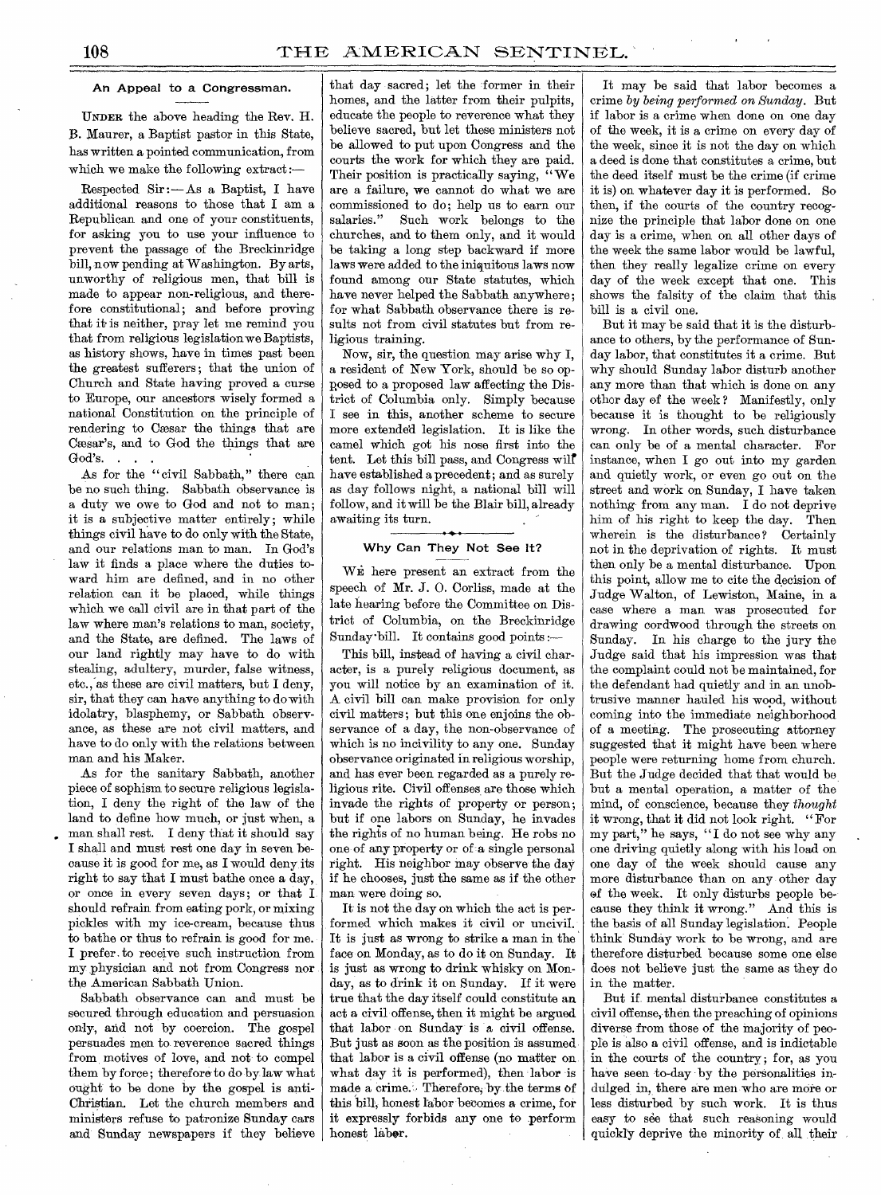# An Appeal to a Congressman.

UNDER the above heading the Rev. H. B. Maurer, a Baptist pastor in this State, has written a pointed communication, from which we make the following extract :-

Respected Sir :— As a Baptist, I have additional reasons to those that I am a Republican and one of your constituents, for asking you to use your influence to prevent the passage of the Breckinridge bill, now pending at Washington. By arts, unworthy of religious men, that bill is made to appear non-religious, and therefore constitutional; and before proving that it is neither, pray let me remind you that from religious legislation we Baptists, as history shows, have in times past been the greatest sufferers; that the union of Church and State having proved a curse to Europe, our ancestors wisely formed a national Constitution on the principle of rendering to Caesar the things that are Caesar's, and to God the things that are God's.

As for the "civil Sabbath," there can be no such thing. Sabbath observance is a duty we owe to God and not to man; it is a subjective matter entirely; while things civil have to do only with the State, and our relations man to man. In God's law it finds a place where the duties toward him are defined, and in no other relation can it be placed, while things which we call civil are in that part of the law where man's relations to man, society, and the State, are defined. The laws of our land rightly may have to do with stealing, adultery, murder, false witness, etc., as these are civil matters, but I deny, sir, that they can have anything to do with idolatry, blasphemy, or Sabbath observance, as these are not civil matters, and have to do only with the relations between man and his Maker.

As for the sanitary Sabbath, another piece of sophism to secure religious legislation, I deny the right of the law of the land to define how much, or just when, a man shall rest. I deny that it should say I shall and must rest one day in seven because it is good for me, as I would deny its right to say that I must bathe once a day, or once in every seven days; or that I should refrain from eating pork, or mixing pickles with my ice-cream, because thus to bathe or thus to refrain is good for me. I prefer. to receive such instruction from my physician and not from Congress nor the American Sabbath Union.

Sabbath observance can and must be secured through education and persuasion only, and not by coercion. The gospel persuades men to reverence sacred things from, motives of love, and not to compel them by force; therefore to do by law what ought to be done by the gospel is anti-Christian. Let the church members and ministers refuse to patronize Sunday cars and Sunday newspapers if they believe

that day sacred; let the former in their homes, and the latter from their pulpits, educate the people to reverence what they believe sacred, but let these ministers not be allowed to put upon Congress and the courts the work for which they are paid. Their position is practically saying, " We are a failure, we cannot do what we are commissioned to do; help us to earn our salaries." Such work belongs to the churches, and to them only, and it would be taking a long step backward if more laws were added to the iniquitous laws now found among our State statutes, which have never helped the Sabbath anywhere; for what Sabbath observance there is results not from civil statutes but from religious training.

Now, sir, the question may arise why I, a resident of New York, should be so opposed to a proposed law affecting the District of Columbia only. Simply because I see in this, another scheme to secure more extended legislation. It is like the camel which got his nose first into the tent. Let this bill pass, and Congress wilt have established a precedent; and as surely as day follows night, a national bill will follow, and it will be the Blair bill, already awaiting its turn.

# Why Can They Not See It?

WE here present an extract from the speech of Mr. J. 0. Corliss, made at the late hearing before the Committee on District of Columbia, on the Breckinridge Sunday-bill. It contains good points :—

This bill, instead of having a civil character, is a purely religious document, as you will notice by an examination of it. A civil bill can make provision for only civil matters; but this one enjoins the observance of a day, the non-observance of which is no incivility to any one. Sunday observance originated in religious worship, and has ever been regarded as a purely religious rite. Civil offenses are those which invade the rights of property or person; but if one labors on Sunday, he invades the rights of no human being. He robs no one of any property or of a single personal right. His neighbor may observe the day if he chooses, just the same as if the other man were doing so.

It is not the day on which the act is performed which makes it civil or uncivil. It is just as wrong to strike a man in the face on Monday, as to do it on Sunday. It is just as wrong to drink whisky on Monday, as to drink it on Sunday. If it were true that the day itself could constitute an act a civil offense, then it might be argued that labor on Sunday is a civil offense. But just as soon as the position is assumed, that labor is a civil offense (no matter on what day it is performed), then labor is made a crime. Therefore, by the terms of this bill, honest labor becomes a crime, for it expressly forbids any one to perform honest labor.

It may be said that labor becomes a crime *by being performed on Sunday.* But if labor is a crime when done on one day of the week, it is a crime on every day of the week, since it is not the day on which a deed is done that constitutes a crime, but the deed itself must be the crime (if crime it is) on whatever day it is performed. So then, if the courts of the country recognize the principle that labor done on one day is a crime, when on all other days of the week the same labor would be lawful, then they really legalize crime on every day of the week except that one. This shows the falsity of the claim that this bill is a civil one.

But it may be said that it is the disturbance to others, by the performance of Sunday labor, that constitutes it a crime. But why should Sunday labor disturb another any more than that which is done on any other day of the week ? Manifestly, only because it is thought to be religiously wrong. In other words, such disturbance can only be of a mental character. For instance, when I go out into my garden and quietly work, or even go out on the street and work on Sunday, I have taken nothing from any man. I do not deprive him of his right to keep the day. Then wherein is the disturbance? Certainly not in the deprivation of rights. It must then only be a mental disturbance. Upon this point, allow me to cite the decision of Judge Walton, of Lewiston, Maine, in a case where a man was prosecuted for drawing cordwood through the streets on Sunday. In his charge to the jury the Judge said that his impression was that the complaint could not be maintained, for the defendant had quietly and in an unobtrusive manner hauled his wood, without coming into the immediate neighborhood of a meeting. The prosecuting attorney suggested that it might have been where people were returning home from church. But the Judge decided that that would be but a mental operation, a matter of the mind, of conscience, because they *thought*  it wrong, that it did not look right. "For my part," he says, "I do not see why any one driving quietly along with his load on one day of the week should cause any more disturbance than on any other day of the week. It only disturbs people be cause they think it wrong." And this is the basis of all Sunday legislation; People think Sunday work to be wrong, and are therefore disturbed because some one else does not believe just the same as they do in the matter.

But if mental disturbance constitutes a civil offense, then the preaching of opinions diverse from those of the majority of people is also a civil offense, and is indictable in the courts of the country; for, as you have seen to-day by the personalities indulged in, there are men who are more or less disturbed by such work. It is thus easy to see that such reasoning would quickly deprive the minority of all their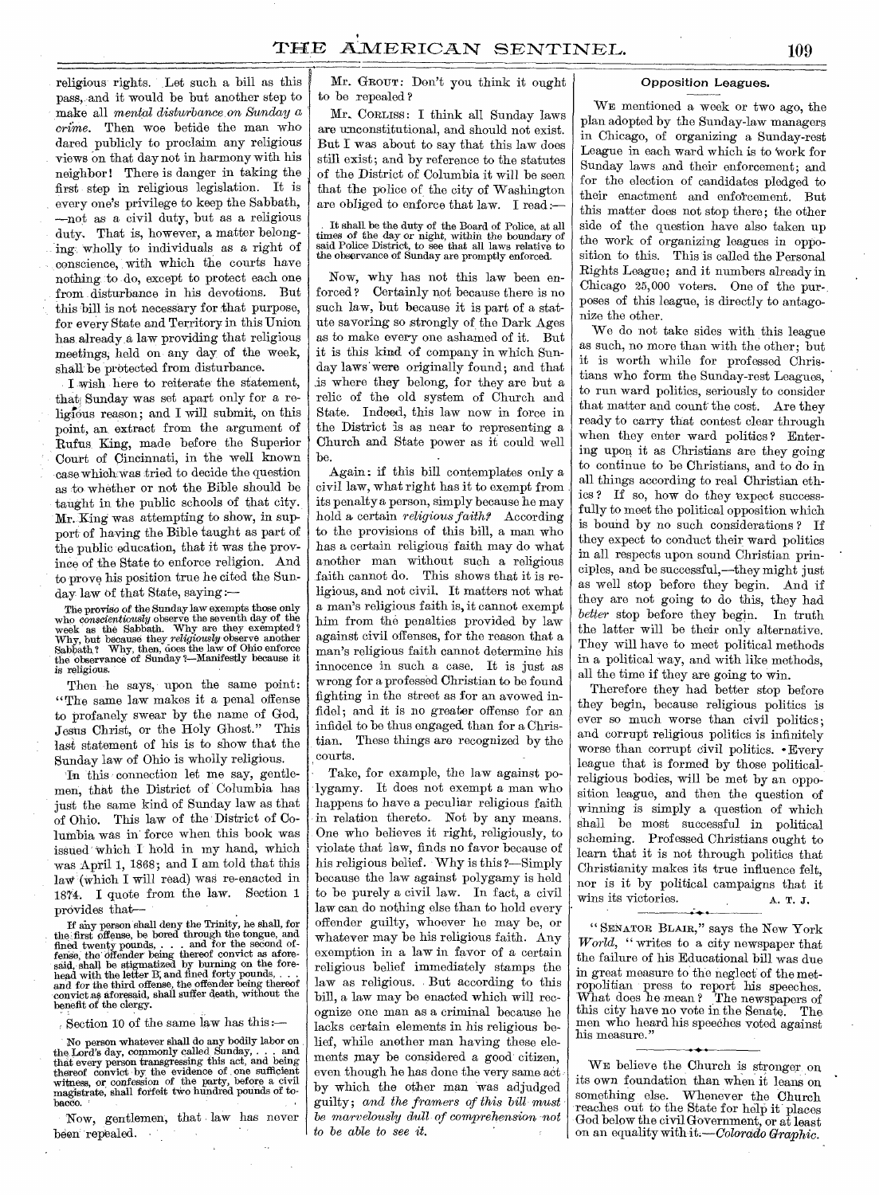religious rights. Let such a bill as this pass, and it would be but another step to make all *mental disturbance on Sunday a crime.* Then woe betide the man who dared publicly to proclaim any religious views on that day not in harmony with his neighbor ! There is danger in taking the first step in religious legislation. It is every one's privilege to keep the Sabbath, —not as a civil duty, but as a religious duty. That is, however, a matter belonging-wholly to individuals as a right of conscience, with which the courts have nothing to do, except to protect each one from disturbance in his devotions. But this bill is not necessary for that purpose, for every State and Territory in this Union has already a law providing that religious meetings; held on any day of the week, shall be protected from disturbance.

I wish here to reiterate the statement, that; Sunday was set apart only for a religious reason; and I will submit, on this point, an extract from the argument of Rufus King, made before the Superior Court of Cincinnati, in the well known case which. was tried to decide the question as to whether or not the Bible should be taught in the public schools of that city. Mr. King was attempting to show, in support of having the Bible taught as part of the public education, that it was the province of the State to enforce religion. And to prove his position true he cited the Sunday law of that State, saying

The proviso of the Sunday law exempts those only who *conscientiously* observe the seventh day of the week as the Sabbath. Why are they exempted ? Why, but because they *religiously* observe another Sabbath, ? Why, then, does the law of Ohio enforce the observance of Sunday 2—Manifestly because it is religious.

Then he says, upon the same point: "The same law makes it a penal offense to profanely swear by the name of God, Jesus Christ, or the Holy Ghost." This last statement of his is to show that the Sunday law of Ohio is wholly religious.

In this connection let me say, gentlemen, that the District of Columbia has just the same kind of Sunday law as that of Ohio. This law of the District of Columbia was in force when this book was issued which I hold in my hand, which was April 1, 1868; and I am told that this law (which I will read) was re-enacted in 1874. I quote from the law. Section 1 provides that—

If any person shall deny the Trinity, he shall, for the first offense, be bored through the tongue, and fined twenty pounds, . . . and for the second of-<br>fense, the offender being thereof convict as afore-<br>said, shall be stigmatized by burning on the forehead with the letter B, and fined forty pounds, . . . and for the third offense, the offender being thereof convict as aforesaid, shall suffer death, without the benefit of the clergy.

Section 10 of the same law has this :—

No person whatever shall do any bodily labor on the Lord's day, commonly called, Sunday, . . . and that every person transgressing this act, and being thereof convict by the evidence of one sufficient witness, or confession of the party, before a civil magistrate, shall forfeit two hundred pounds of tobacco.

*Now,* gentlemen, that law has never been repealed.

Mr. GROUT: Don't you think it ought to be repealed ?

Mr. CORLISS: I think all Sunday laws are unconstitutional, and should not exist. But I was about to say that this law does still exist; and by reference to the statutes of the District of Columbia it will be seen that the police of the city of Washington are obliged to enforce that law. I read:

It shall be the duty of the Board of Police, at all times of the day or night, within the boundary of said Police District, to see that all laws relative to the observance of Sunday are promptly enforced.

Now, why has not this law been enforced ? Certainly not because there is no such law, but because it is part of a statute savoring so strongly of the Dark Ages as to make every one ashamed of it. But it is this kind of company in which Sunday laws were originally found; and that .is where they belong, for they are but a relic of the old system of Church and State. Indeed, this law now in force in the District is as near to representing a Church and State power as it could well be.

Again : if this bill contemplates only a civil law, what right has it to exempt from . its penalty a person, simply because he may hold a certain *religious faith?* According to the provisions of this bill, a man who has a certain religious faith may do what another man without such a religious faith cannot do. This shows that it is religious, and not civil. It matters not what a man's religious faith is, it cannot exempt him from the penalties provided by law against civil offenses, for the reason that a man's religious faith cannot determine his innocence in such a case. It is just as wrong for a professed Christian to be found fighting in the street as for an avowed infidel; and it is no greater offense for an infidel to be thus engaged than for a Christian. These things are recognized by the courts.

Take, for example, the law against polygamy. It does not exempt a man who happens to have a peculiar religious faith in relation thereto.. Not by any means. One who believes it right, religiously, to violate that law, finds no favor because of his religious belief. Why is this ?--Simply because the law against polygamy is held to be purely a civil law. In fact, a civil law can do nothing else than to hold every offender guilty, whoever he may be, or whatever may be his religious faith. Any exemption in a law in favor of a certain religious belief immediately stamps the law as religious. But according to this bill, a law may be enacted which will recognize one man as a criminal because he lacks certain elements in his religious belief, while another man having these elements may be considered a good' citizen, even though he has done the very same act by which the other man 'was adjudged guilty; and *the framers of this bill must be marvelously dull of comprehension not to be able to see it.* 

## Opposition Leagues.

WE mentioned a week or two ago, the plan adopted by the Sunday-law managers in Chicago, of organizing a Sunday-rest League in each ward which is to 'work for Sunday laws and their enforcement; and for the election of candidates pledged to their enactment and enforcement. But this matter does not stop there; the other side of the question have also taken up the work of organizing leagues in opposition to this. This is called the Personal Rights League; and it numbers already in Chicago 25,000 voters. One of the purposes of this league, is directly to antagonize the other.

We do not take sides with this league as such, no more than with the other; but it is worth while for professed Christians who form the Sunday-rest Leagues, to run ward politics, seriously to consider that matter and count the cost. Are they ready to carry that contest clear through when they enter ward politics ? Entering upon it as Christians are they going to continue to be Christians, and to do in all things according to real Christian ethics ? If so, how do they expect successfully to meet the political opposition which is bound by no such considerations ? If they expect to conduct their ward politics in all respects upon sound Christian principles, and be successful,—they might just as well stop before they begin. And if they are not going to do this, they had *better* stop before they begin. In truth the latter will be their only alternative. They will have to meet political methods in a political way, and with like methods, all the time if they are going to win.

Therefore they had better stop before they begin, because religious politics is ever so much worse than civil politics; and corrupt religious politics is infinitely worse than corrupt civil politics. • Every league that is formed by those politicalreligious bodies, will be met by an opposition league, and then the question of winning is simply a question of which shall be most successful in political scheming. Professed Christians ought to learn that it is not through politics that Christianity makes its true influence felt, nor is it by political campaigns that it wins its victories. A. T. J.

" SENATOR BLAIR," says the New York *World, "* writes to a city newspaper that the failure of his Educational bill was due in great measure to the neglect of the metropolitian press to report his speeches. What does he mean? The newspapers of this city have no vote in the Senate. The men who heard his speeches voted against his measure." • \* •

WE believe the Church is stronger on its own foundation than when it leans on something else. Whenever the Church reaches out to the State for help it places God below the civil Government, or at least on an equality with *it.—Colorado Graphic.*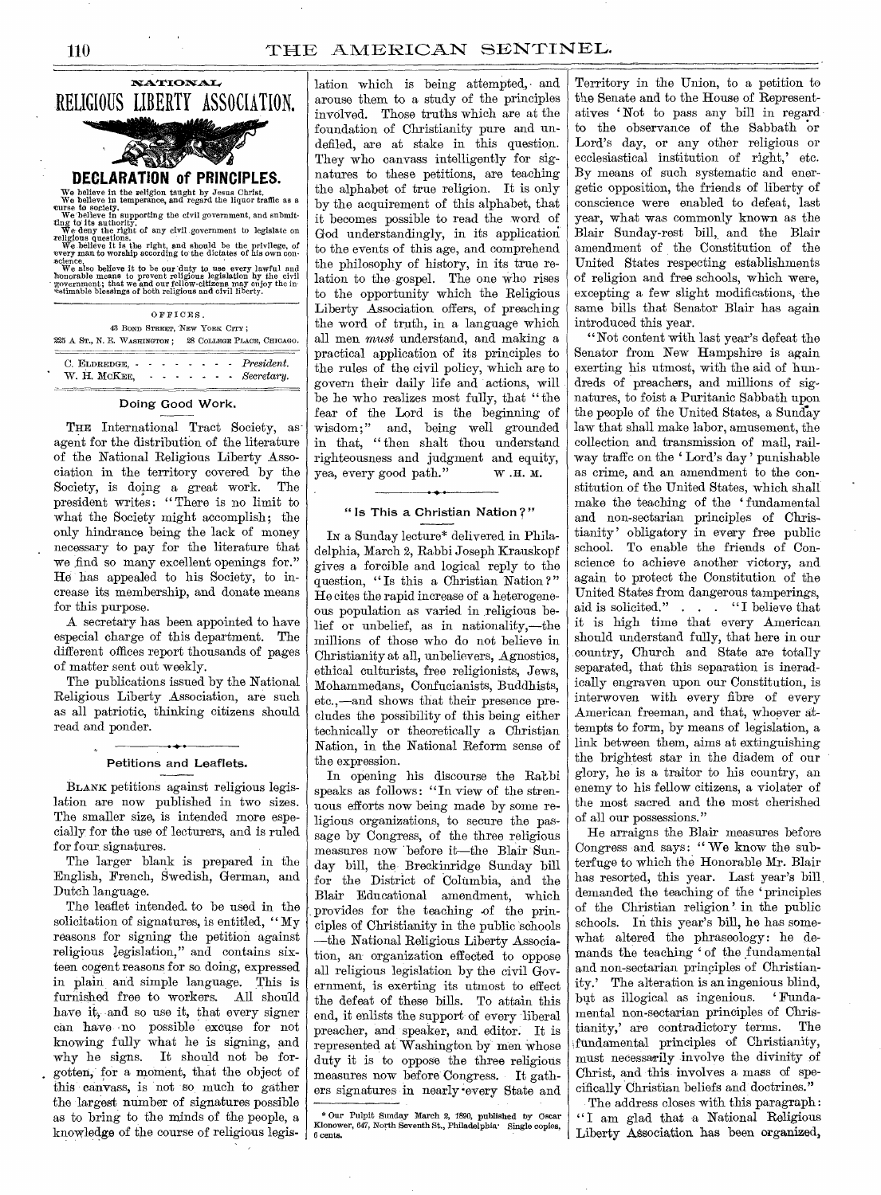

| $\cup$ , ELDREDGE, $\cdot \cdot \cdot \cdot \cdot \cdot \cdot \cdot$ Tresulent. |  |  |  |  |
|---------------------------------------------------------------------------------|--|--|--|--|
| W. H. MCKEE. Secretary.                                                         |  |  |  |  |
|                                                                                 |  |  |  |  |

# Doing Good Work.

THE International Tract Society, asagent for the distribution of the literature of the National Religious Liberty Association in the territory covered by the Society, is doing a great work. The president writes: "There is no limit to what the Society might accomplish; the only hindrance being the lack of money necessary to pay for the literature that we find so many excellent openings for." He has appealed to his Society, to increase its membership, and donate means for this purpose.

A secretary has been appointed to have especial charge of this department. The different offices report thousands of pages of matter sent out weekly.

The publications issued by the National Religious Liberty Association, are such as all patriotic, thinking citizens should read and ponder.

# Petitions and Leaflets.

BLANK petitions against religious legislation are now published in two sizes. The smaller size, is intended more especially for the use of lecturers, and is ruled for four, signatures.

The larger blank is prepared in the English, French, Swedish, German, and Dutch language.

The leaflet intended, to be used in the solicitation of signatures, is entitled, "My reasons for signing the petition against religious legislation," and contains sixteen cogent reasons for so doing, expressed in plain and simple language. This is furnished free to workers. All should have it, and so use it, that every signer can have no possible excuse for not knowing fully what he is signing, and why he signs. It should not be forgotten, for a moment, that the object of this canvass, is not so much to gather the largest number of signatures possible as to bring to the minds of the people, a knowledge of the course of religious legis- ,

lation which is being attempted, and arouse them to a study of the principles involved. Those truths which are at the foundation of Christianity pure and undefiled, are at stake in this question. They who canvass intelligently for signatures to these petitions, are teaching the alphabet of true religion. It is only by the acquirement of this alphabet, that it becomes possible to read the word of God understandingly, in its application to the events of this age, and comprehend the philosophy of history, in its true relation to the gospel. The one who rises to the opportunity which the Religious Liberty Association offers, of preaching the word of truth, in a language which all men *must* understand, and making a practical application of its principles to the rules of the civil policy, which are to govern their daily life and actions, will be he who realizes most fully, that " the fear of the Lord is the beginning of wisdom;" and, being well grounded in that, "then shalt thou understand righteousness and judgment and equity, yea, every good path." w .H. M.

# "Is This a Christian Nation?"

IN a Sunday lecture\* delivered in Philadelphia, March 2, Rabbi Joseph Krauskopf gives a forcible and logical reply to the question, "Is this a Christian Nation?" He cites the rapid increase of a heterogeneous population as varied in religious belief or unbelief, as in nationality,—the millions of those who do not believe in Christianity at all, unbelievers, Agnostics, ethical culturists, free religionists, Jews, Mohammedans, Confucianists, Buddhists, etc.,—and shows that their presence precludes the possibility of this being either technically or theoretically a Christian Nation, in the National Reform sense of the expression.

In opening his discourse the Rakbi speaks as follows: "In view of the strenuous efforts now being made by some religious organizations, to secure the passage by Congress, of the three religious measures now 'before it—the Blair Sunday bill, the Breckinridge Sunday bill for the District of Columbia, and the Blair Educational amendment, which provides for the teaching .of the principles of Christianity in the public schools —the National Religious Liberty Association, an organization effected to oppose all religious legislation by the civil Government, is exerting its utmost to effect the defeat of these bills. To attain this end, it enlists the support of every liberal preacher, and speaker, and editor. It is represented at Washington by men whose duty it is to oppose the three religious measures now before Congress. It gathers signatures in nearly -every State and

\* Our Pulpit Sunday March 2, 1890, published by Oscar Kionower, 647, North Seventh St., Philadelphia' Single copies, 6 cents.

Territory in the Union, to a petition to the Senate and to the House of Representatives ' Not to pass any bill in regard to the observance of the Sabbath or Lord's day, or any other religious or ecclesiastical institution of right,' etc. By means of such systematic and energetic opposition, the friends of liberty of conscience were enabled to defeat, last year, what was commonly known as the Blair Sunday-rest bill, and the Blair amendment of the Constitution of the United States respecting establishments of religion and free schools, which were, excepting a few slight modifications, the same bills that Senator Blair has again introduced this year.

"Not content with last year's defeat the Senator from New Hampshire is again exerting his utmost, with the aid of hundreds of preachers, and millions of signatures, to foist a Puritanic Sabbath upon the people of the United States, a Sunday law that shall make labor, amusement, the collection and transmission of mail, railway traffic on the ' Lord's day' punishable as crime, and an amendment to the constitution of the United States, which shall make the teaching of the ' fundamental and non-sectarian principles of Christianity' obligatory in every free public school. To enable the friends of Conscience to achieve another victory, and again to protect the Constitution of the United States from dangerous tamperings, aid is solicited." . . . "I believe that it is high time that every American should understand fully, that here in our country, Church and State are totally separated, that this separation is ineradically engraven upon our Constitution, is interwoven with every fibre of every American freeman, and that, whoever attempts to form, by means of legislation, a link between them, aims at extinguishing the brightest star in the diadem of our glory, he is a traitor to his country, an enemy to his fellow citizens, a violater of the most sacred and the most cherished of all our possessions."

He arraigns the Blair measures before Congress and says: "We know the subterfuge to which the Honorable Mr. Blair has resorted, this year. Last year's bill demanded the teaching of the `principles of the Christian religion ' in the public schools. In this year's bill, he has somewhat altered the phraseology: he demands the teaching ' of the fundamental and non-sectarian principles of Christianity.' The alteration is an ingenious blind, but as illogical as ingenious. mental non-sectarian principles of Christianity,' are contradictory terms. The fundamental principles of Christianity, must necessarily involve the divinity of Christ, and this involves a mass of specifically Christian beliefs and doctrines."

The address closes with this paragraph : " I am glad that a National Religious Liberty Association has been organized,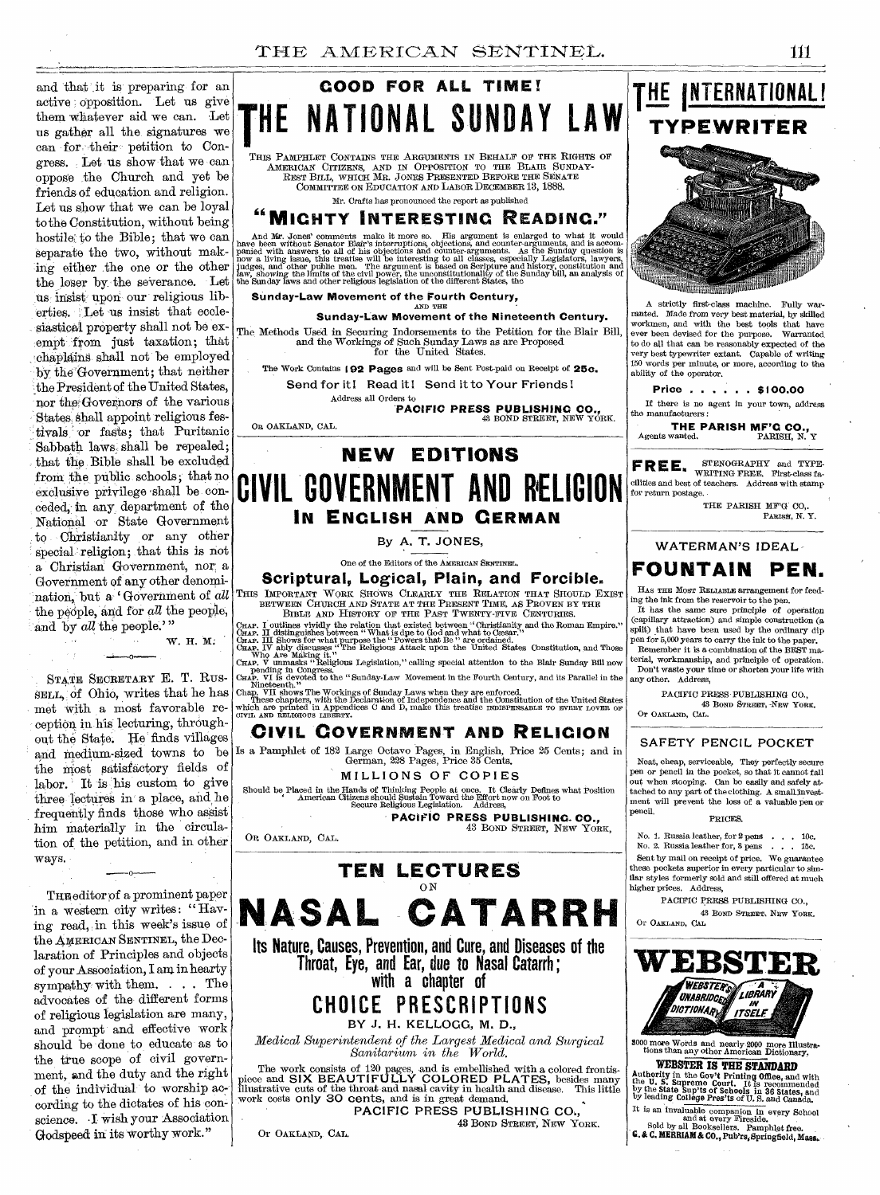nation, but a Government of *all* This IMPORTANT WORK SHOWS CLEARLY THE RELATION THAT SHOULD EXIST and that it is preparing for an active opposition. Let us give them whatever aid we can. Let us gather all the signatures we can for their petition to Congress. Let us show that we can oppose the Church and yet be friends of education and religion. Let us show that we can be loyal to the Constitution, without being hostile: to the Bible; that we can separate the two, without making either the one or the other the loser by the severance. Let us insist upon our religious liberties. Let us insist that ecclesiastical property shall not be exempt from just taxation; that chaplains shall not be employed by the Government; that neither the President of the United States, nor tho Governors of the various States, shall appoint religious festivals or fasts; that Puritanic Sabbath laws shall be repealed; that the Bible shall be excluded from the public schools; that no exclusive privilege shall be conceded,- in any, department of the National or State Government to Christianity or any other special religion; that this is not a Christian Government, nor a Government of any other denomithe people, and for  $all$  the people, and by *all* the people.'"

STATE SECRETARY E. T. RUS-SELL, of Obio, writes that he has met with a most favorable reception in his lecturing, throughout the State. He finds villages and medium-sized towns to be the most satisfactory fields of labor. It is his custom to give three lectures in a place, and he frequently finds those who assist him materially in the circulation of the petition, and in other ways.

 $\mathbf{0}$ 

THE editor of a prominent paper in a western city writes: "Having read, in this week's issue of the AMERICAN SENTINEL, the Declaration of Principles and objects of your Association, I am in hearty sympathy with them. . . . The advocates of the different forms of religious legislation are many, and prompt and effective work should be done to educate as to the true scope of civil government, and the duty and the right of the individual to worship according to the dictates of his conscience. I wish your Association Godspeed in its worthy work."

# **GOOD FOR ALL TIME! HE NATIONAL SUNDAY** THIS PAMPHLET CONTAINS THE ARGUMENTS IN BEHALF OF THE RIGHTS OF

AMERICAN CITIZENS, AND IN OPPOSITION TO THE BLAIR SUNDAY-REST BILL, WHICH MR. JONES PRESENTED BEFORE THE SENATE COMMITTEE ON EDUCATION AND LABOR DECEMBER 13, 1888. Mr. Crafts has pronounced the report as published

# **"MIGHTY INTERESTING READING."**

And Mr. Jones' comments make it more so. His argument is enlarged to what it would have been without Senator Bair's interruptions, objections, and counter-arguments, and is accommed<br>panied with answers to all of his objec

**Sunday-Law Movement of the Fourth Century,** 

*AND* THE **Sunday-Law Movement of the Nineteenth Century.** 

The Methods Used in Securing Indorsements to the Petition for the Blair Bill, and the Workings of Such Sunday Laws as are Proposed for the United States.

The Work Contains **192 Pages** and will be Sent Post-paid on Receipt of 25c. Send for it! Read it! Send it to Your Friends!

> Address all Orders to **PACIFIC PRESS PUBLISHING CO.,**<br>43 BOND STREET, NEW YORK.

On OAKLAND, CAL.

# **NEW EDITIONS CIVIL GOVERNMENT AND RELIGION IN ENGLISH AND GERMAN**

By A. T. JONES,

One of the Editors of the AMERICAN SENTINEL.

**Scriptural, Logical, Plain, and Forcible.** 

BETWEEN CHURCH AND STATE AT THE PRESENT TIME, AS PROVEN BY THE BIBLE AND HISTORY OF THE PAST TWENTY-FIVE CENTURIES.

W. H. M:

CHAP. I outlines vividly the relation that existed between "Christianity and the Roman Empire."<br>CHAP. III distinguishes between "What is due to God and what to Gessar."<br>GHAP. III Shows for what purpose the "Powers that Be

# **CIVIL GOVERNMENT AND RELIGION**

Is a Pamphlet of 182 Large Octavo Pages, in English, Price 25 Cents; and in German, 228 Pages, Price 35 Cents.

MILLIONS OF COPIES

Should be Placed in the Hands of Thinking People at once. It Clearly Defines what Position American Citizens should Sustain Toward the Effort now on Foot to Secure Religious Legislation. Address,

**PACIFIC PRESS PUBLISHING- CO.,**  43 BOND STREET, NEW YORK,

OR OAKLAND, CAL.

**TEN LECTURES**  ON **NASAL CATARRH** 

**Its Nature, Causes, Prevention, and Cure, and Diseases of the Throat, Eye, and Ear, due to Nasal Catarrh ; with a chapter of** 

**CHOICE PRESCRIPTIONS** 

BY J. H. KELLOGG, M. D.,

*Medical Superintendent of the Largest Medical and Surgical Sanitarium in the World.* 

The work consists of 120 pages, and is embellished with a colored frontis-<br>piece and SIX BEAUTIFULLY COLORED PLATES, besides many<br>illustrative cuts of the throat and nasal cavity in health and disease. This little<br>work cos

PACIFIC PRESS PUBLISHING CO., 43 BOND STREET, NEW YORK.

Or OAKLAND, CAL.

**TYPEWRITER**  

**THE INTERNATIONAL!** 

A strictly first-class machine. Fully warranted. Made from very best material, by skilled workmen, and with the best tools that have ever been devised for the purpose. Warranted to do all that can be reasonably expected of the very best typewriter extant. Capable of writing 150 words per minute, or more, according to the ability of the operator.

Price **...**...\$100.00

If there is no agent in your town, address the manufacturers:

**THE PARISH MF'G CO.,**<br>Agents wanted. PARISH, N. Y

**FREE.** STENOGRAPHY and TYPE-<br>cilities and best of teachers. Address with stamp for return postage.

THE PARISH MF'G CO,.<br>Parish, N. Y.

WATERMAN'S IDEAL-



HAS THE MOST RELIABLE arrangement for feeding the ink from the reservoir to the pen.

It has the same sure principle *of operation*  (capillary attraction) and simple construction (a split) that have been used by the ordinary dip pen for 5,000 years to carry the ink to the paper. Remember it is a combination of the BEST ma-

terial, workmanship, and principle of operation. Don't waste your time or shorten your life with any other. Address,

PACIFIC PRESS PUBLISHING CO., 43 BOND STREET, -NEW YORE. Or OAKLAND, CAL.

### SAFETY PENCIL POCKET

Neat, cheap, serviceable, They perfectly secure pen or pencil in the pocket, so that it cannot fall out when stooping. Can be easily *and* safely at-tached to any part of the clothing. A smaltinvest-ment will prevent the loss of a valuable pen or pencil. PRICES.

#### No. 1. Russia leather, for 2 pens . . . 10c. No. 2. Russia leather for, 3 pens . . . 15e. Sent by mail on receipt of price. We guarantee these pockets superior in every particular to similar styles formerly sold and still offered at much higher prices, Address,

PACIFIC PRESS. PUBLISHING CO., 43 BOND STREET, NEW YORK.

Or OAKLAND, CAL



<sup>3000</sup>more Words and nearly 2000 more Illustra- tions than any other American Dictionary.

WEBSTER **IS THE STANDARD**  Authority in the Gov't Printing Office, and with the U. S. Supreme Court. It is recommended by the State Sup'ts of Schools in 36 States, and by leading College Pres'ts of U. S. and Canada.

It is an invaluable companion in every School and at every Fireside. Sold by all Booksellers. Pamphlet free. G. & C. MERRIAM& CO., Pab'rs, Springfield, *Mace.*: